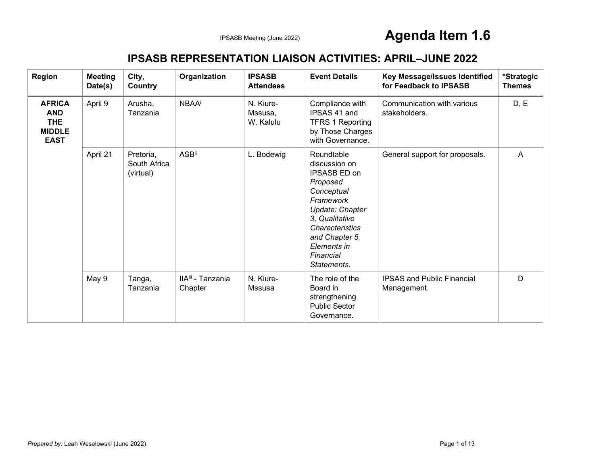#### **IPSASB REPRESENTATION LIAISON ACTIVITIES: APRIL–JUNE 2022**

| <b>Region</b>                                                             | <b>Meeting</b><br>Date(s) | City,<br>Country                       | Organization                             | <b>IPSASB</b><br><b>Attendees</b> | <b>Event Details</b>                                                                                                                                                                                    | Key Message/Issues Identified<br>for Feedback to IPSASB | *Strategic<br><b>Themes</b> |
|---------------------------------------------------------------------------|---------------------------|----------------------------------------|------------------------------------------|-----------------------------------|---------------------------------------------------------------------------------------------------------------------------------------------------------------------------------------------------------|---------------------------------------------------------|-----------------------------|
| <b>AFRICA</b><br><b>AND</b><br><b>THE</b><br><b>MIDDLE</b><br><b>EAST</b> | April 9                   | Arusha,<br>Tanzania                    | <b>NBAA</b> i                            | N. Kiure-<br>Mssusa,<br>W. Kalulu | Compliance with<br>IPSAS 41 and<br><b>TFRS 1 Reporting</b><br>by Those Charges<br>with Governance.                                                                                                      | Communication with various<br>stakeholders.             | D, E                        |
|                                                                           | April 21                  | Pretoria.<br>South Africa<br>(virtual) | <b>ASB</b> ii                            | L. Bodewig                        | Roundtable<br>discussion on<br>IPSASB ED on<br>Proposed<br>Conceptual<br>Framework<br>Update: Chapter<br>3, Qualitative<br>Characteristics<br>and Chapter 5,<br>Elements in<br>Financial<br>Statements. | General support for proposals.                          | A                           |
|                                                                           | May 9                     | Tanga,<br>Tanzania                     | IIA <sup>iii</sup> - Tanzania<br>Chapter | N. Kiure-<br>Mssusa               | The role of the<br>Board in<br>strengthening<br><b>Public Sector</b><br>Governance.                                                                                                                     | <b>IPSAS and Public Financial</b><br>Management.        | D                           |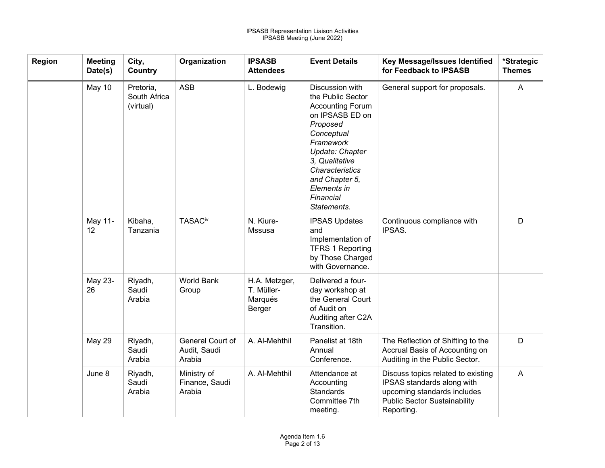| <b>Region</b> | <b>Meeting</b><br>Date(s) | City,<br>Country                       | Organization                               | <b>IPSASB</b><br><b>Attendees</b>                | <b>Event Details</b>                                                                                                                                                                                                                                  | Key Message/Issues Identified<br>for Feedback to IPSASB                                                                                              | *Strategic<br><b>Themes</b> |
|---------------|---------------------------|----------------------------------------|--------------------------------------------|--------------------------------------------------|-------------------------------------------------------------------------------------------------------------------------------------------------------------------------------------------------------------------------------------------------------|------------------------------------------------------------------------------------------------------------------------------------------------------|-----------------------------|
|               | May 10                    | Pretoria,<br>South Africa<br>(virtual) | <b>ASB</b>                                 | L. Bodewig                                       | Discussion with<br>the Public Sector<br><b>Accounting Forum</b><br>on IPSASB ED on<br>Proposed<br>Conceptual<br>Framework<br>Update: Chapter<br>3. Qualitative<br><b>Characteristics</b><br>and Chapter 5,<br>Elements in<br>Financial<br>Statements. | General support for proposals.                                                                                                                       | $\mathsf{A}$                |
|               | May 11-<br>12             | Kibaha,<br>Tanzania                    | <b>TASACiv</b>                             | N. Kiure-<br>Mssusa                              | <b>IPSAS Updates</b><br>and<br>Implementation of<br><b>TFRS 1 Reporting</b><br>by Those Charged<br>with Governance.                                                                                                                                   | Continuous compliance with<br>IPSAS.                                                                                                                 | D                           |
|               | May 23-<br>26             | Riyadh,<br>Saudi<br>Arabia             | <b>World Bank</b><br>Group                 | H.A. Metzger,<br>T. Müller-<br>Marqués<br>Berger | Delivered a four-<br>day workshop at<br>the General Court<br>of Audit on<br>Auditing after C2A<br>Transition.                                                                                                                                         |                                                                                                                                                      |                             |
|               | May 29                    | Riyadh,<br>Saudi<br>Arabia             | General Court of<br>Audit, Saudi<br>Arabia | A. Al-Mehthil                                    | Panelist at 18th<br>Annual<br>Conference.                                                                                                                                                                                                             | The Reflection of Shifting to the<br>Accrual Basis of Accounting on<br>Auditing in the Public Sector.                                                | D                           |
|               | June 8                    | Riyadh,<br>Saudi<br>Arabia             | Ministry of<br>Finance, Saudi<br>Arabia    | A. Al-Mehthil                                    | Attendance at<br>Accounting<br><b>Standards</b><br>Committee 7th<br>meeting.                                                                                                                                                                          | Discuss topics related to existing<br>IPSAS standards along with<br>upcoming standards includes<br><b>Public Sector Sustainability</b><br>Reporting. | $\overline{A}$              |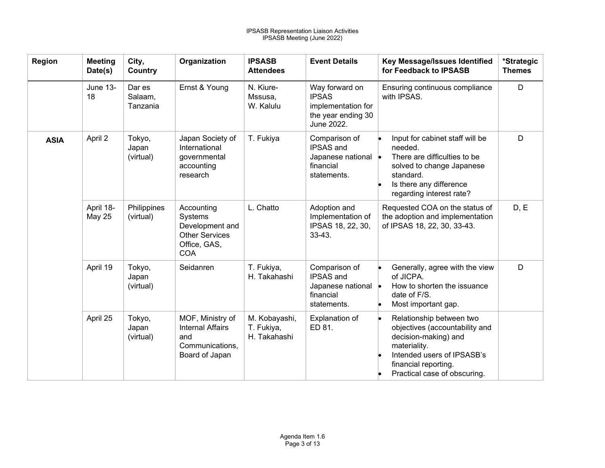| Region      | <b>Meeting</b><br>Date(s) | City,<br><b>Country</b>       | Organization                                                                                    | <b>IPSASB</b><br><b>Attendees</b>           | <b>Event Details</b>                                                                     | Key Message/Issues Identified<br>for Feedback to IPSASB                                                                                                                                  | *Strategic<br><b>Themes</b> |
|-------------|---------------------------|-------------------------------|-------------------------------------------------------------------------------------------------|---------------------------------------------|------------------------------------------------------------------------------------------|------------------------------------------------------------------------------------------------------------------------------------------------------------------------------------------|-----------------------------|
|             | <b>June 13-</b><br>18     | Dar es<br>Salaam,<br>Tanzania | Ernst & Young                                                                                   | N. Kiure-<br>Mssusa,<br>W. Kalulu           | Way forward on<br><b>IPSAS</b><br>implementation for<br>the year ending 30<br>June 2022. | Ensuring continuous compliance<br>with IPSAS.                                                                                                                                            | D                           |
| <b>ASIA</b> | April 2                   | Tokyo,<br>Japan<br>(virtual)  | Japan Society of<br>International<br>governmental<br>accounting<br>research                     | T. Fukiya                                   | Comparison of<br><b>IPSAS</b> and<br>Japanese national •<br>financial<br>statements.     | Input for cabinet staff will be<br>needed.<br>There are difficulties to be<br>solved to change Japanese<br>standard.<br>Is there any difference<br>regarding interest rate?              | D                           |
|             | April 18-<br>May 25       | Philippines<br>(virtual)      | Accounting<br>Systems<br>Development and<br><b>Other Services</b><br>Office, GAS,<br><b>COA</b> | L. Chatto                                   | Adoption and<br>Implementation of<br>IPSAS 18, 22, 30,<br>$33 - 43$ .                    | Requested COA on the status of<br>the adoption and implementation<br>of IPSAS 18, 22, 30, 33-43.                                                                                         | D, E                        |
|             | April 19                  | Tokyo,<br>Japan<br>(virtual)  | Seidanren                                                                                       | T. Fukiya,<br>H. Takahashi                  | Comparison of<br>IPSAS and<br>Japanese national •<br>financial<br>statements.            | Generally, agree with the view<br>of JICPA.<br>How to shorten the issuance<br>date of F/S.<br>Most important gap.                                                                        | D                           |
|             | April 25                  | Tokyo,<br>Japan<br>(virtual)  | MOF, Ministry of<br><b>Internal Affairs</b><br>and<br>Communications,<br>Board of Japan         | M. Kobayashi,<br>T. Fukiya,<br>H. Takahashi | Explanation of<br>ED 81.                                                                 | Relationship between two<br>objectives (accountability and<br>decision-making) and<br>materiality.<br>Intended users of IPSASB's<br>financial reporting.<br>Practical case of obscuring. |                             |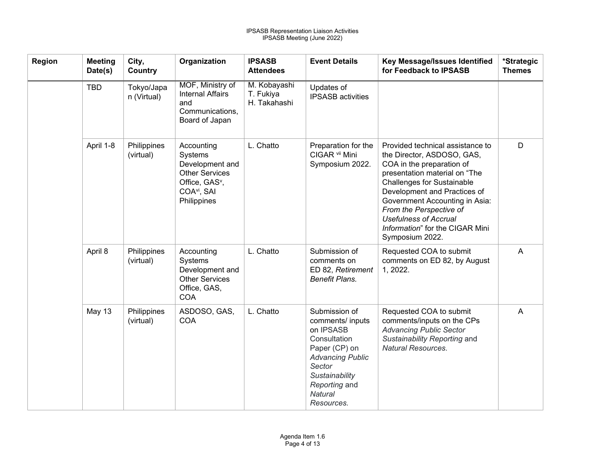| <b>Region</b> | <b>Meeting</b><br>Date(s) | City,<br>Country          | Organization                                                                                                                              | <b>IPSASB</b><br><b>Attendees</b>         | <b>Event Details</b>                                                                                                                                                             | Key Message/Issues Identified<br>for Feedback to IPSASB                                                                                                                                                                                                                                                                                              | *Strategic<br><b>Themes</b> |
|---------------|---------------------------|---------------------------|-------------------------------------------------------------------------------------------------------------------------------------------|-------------------------------------------|----------------------------------------------------------------------------------------------------------------------------------------------------------------------------------|------------------------------------------------------------------------------------------------------------------------------------------------------------------------------------------------------------------------------------------------------------------------------------------------------------------------------------------------------|-----------------------------|
|               | <b>TBD</b>                | Tokyo/Japa<br>n (Virtual) | MOF, Ministry of<br><b>Internal Affairs</b><br>and<br>Communications,<br>Board of Japan                                                   | M. Kobayashi<br>T. Fukiya<br>H. Takahashi | Updates of<br><b>IPSASB</b> activities                                                                                                                                           |                                                                                                                                                                                                                                                                                                                                                      |                             |
|               | April 1-8                 | Philippines<br>(virtual)  | Accounting<br>Systems<br>Development and<br><b>Other Services</b><br>Office, GAS <sup>v</sup> ,<br>COA <sup>vi</sup> , SAI<br>Philippines | L. Chatto                                 | Preparation for the<br>CIGAR vii Mini<br>Symposium 2022.                                                                                                                         | Provided technical assistance to<br>the Director, ASDOSO, GAS,<br>COA in the preparation of<br>presentation material on "The<br><b>Challenges for Sustainable</b><br>Development and Practices of<br>Government Accounting in Asia:<br>From the Perspective of<br><b>Usefulness of Accrual</b><br>Information" for the CIGAR Mini<br>Symposium 2022. | D                           |
|               | April 8                   | Philippines<br>(virtual)  | Accounting<br>Systems<br>Development and<br><b>Other Services</b><br>Office, GAS,<br><b>COA</b>                                           | L. Chatto                                 | Submission of<br>comments on<br>ED 82, Retirement<br><b>Benefit Plans.</b>                                                                                                       | Requested COA to submit<br>comments on ED 82, by August<br>1, 2022.                                                                                                                                                                                                                                                                                  | A                           |
|               | <b>May 13</b>             | Philippines<br>(virtual)  | ASDOSO, GAS,<br><b>COA</b>                                                                                                                | L. Chatto                                 | Submission of<br>comments/ inputs<br>on IPSASB<br>Consultation<br>Paper (CP) on<br><b>Advancing Public</b><br>Sector<br>Sustainability<br>Reporting and<br>Natural<br>Resources. | Requested COA to submit<br>comments/inputs on the CPs<br><b>Advancing Public Sector</b><br>Sustainability Reporting and<br><b>Natural Resources.</b>                                                                                                                                                                                                 | A                           |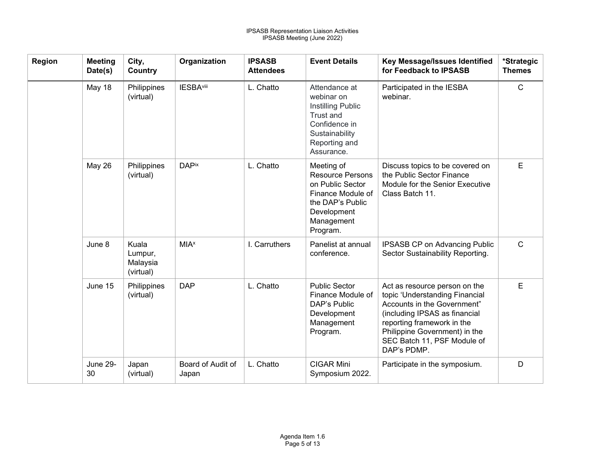| Region | <b>Meeting</b><br>Date(s) | City,<br>Country                          | Organization               | <b>IPSASB</b><br><b>Attendees</b> | <b>Event Details</b>                                                                                                                        | <b>Key Message/Issues Identified</b><br>for Feedback to IPSASB                                                                                                                                                                               | *Strategic<br><b>Themes</b> |
|--------|---------------------------|-------------------------------------------|----------------------------|-----------------------------------|---------------------------------------------------------------------------------------------------------------------------------------------|----------------------------------------------------------------------------------------------------------------------------------------------------------------------------------------------------------------------------------------------|-----------------------------|
|        | May 18                    | Philippines<br>(virtual)                  | <b>IESBA</b> viii          | L. Chatto                         | Attendance at<br>webinar on<br>Instilling Public<br><b>Trust and</b><br>Confidence in<br>Sustainability<br>Reporting and<br>Assurance.      | Participated in the IESBA<br>webinar.                                                                                                                                                                                                        | $\mathsf{C}$                |
|        | <b>May 26</b>             | Philippines<br>(virtual)                  | <b>DAPix</b>               | L. Chatto                         | Meeting of<br><b>Resource Persons</b><br>on Public Sector<br>Finance Module of<br>the DAP's Public<br>Development<br>Management<br>Program. | Discuss topics to be covered on<br>the Public Sector Finance<br>Module for the Senior Executive<br>Class Batch 11.                                                                                                                           | E                           |
|        | June 8                    | Kuala<br>Lumpur,<br>Malaysia<br>(virtual) | <b>MIA</b> <sup>x</sup>    | I. Carruthers                     | Panelist at annual<br>conference.                                                                                                           | <b>IPSASB CP on Advancing Public</b><br>Sector Sustainability Reporting.                                                                                                                                                                     | $\mathsf{C}$                |
|        | June 15                   | Philippines<br>(virtual)                  | <b>DAP</b>                 | L. Chatto                         | <b>Public Sector</b><br>Finance Module of<br>DAP's Public<br>Development<br>Management<br>Program.                                          | Act as resource person on the<br>topic 'Understanding Financial<br>Accounts in the Government"<br>(including IPSAS as financial<br>reporting framework in the<br>Philippine Government) in the<br>SEC Batch 11, PSF Module of<br>DAP's PDMP. | E                           |
|        | June 29-<br>30            | Japan<br>(virtual)                        | Board of Audit of<br>Japan | L. Chatto                         | <b>CIGAR Mini</b><br>Symposium 2022.                                                                                                        | Participate in the symposium.                                                                                                                                                                                                                | D                           |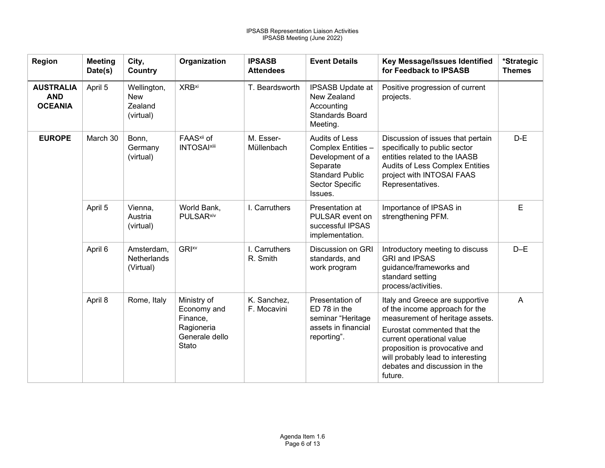| <b>Region</b>                                    | <b>Meeting</b><br>Date(s) | City,<br>Country                                  | Organization                                                                    | <b>IPSASB</b><br><b>Attendees</b> | <b>Event Details</b>                                                                                                                | Key Message/Issues Identified<br>for Feedback to IPSASB                                                                                                                                                                                                                             | *Strategic<br><b>Themes</b> |
|--------------------------------------------------|---------------------------|---------------------------------------------------|---------------------------------------------------------------------------------|-----------------------------------|-------------------------------------------------------------------------------------------------------------------------------------|-------------------------------------------------------------------------------------------------------------------------------------------------------------------------------------------------------------------------------------------------------------------------------------|-----------------------------|
| <b>AUSTRALIA</b><br><b>AND</b><br><b>OCEANIA</b> | April 5                   | Wellington,<br><b>New</b><br>Zealand<br>(virtual) | <b>XRB</b> <sup>xi</sup>                                                        | T. Beardsworth                    | <b>IPSASB Update at</b><br>New Zealand<br>Accounting<br><b>Standards Board</b><br>Meeting.                                          | Positive progression of current<br>projects.                                                                                                                                                                                                                                        |                             |
| <b>EUROPE</b>                                    | March 30                  | Bonn,<br>Germany<br>(virtual)                     | FAAS <sup>xii</sup> of<br><b>INTOSAI</b> xiii                                   | M. Esser-<br>Müllenbach           | <b>Audits of Less</b><br>Complex Entities -<br>Development of a<br>Separate<br><b>Standard Public</b><br>Sector Specific<br>Issues. | Discussion of issues that pertain<br>specifically to public sector<br>entities related to the IAASB<br>Audits of Less Complex Entities<br>project with INTOSAI FAAS<br>Representatives.                                                                                             | $D-E$                       |
|                                                  | April 5                   | Vienna,<br>Austria<br>(virtual)                   | World Bank,<br><b>PULSAR</b> xiv                                                | I. Carruthers                     | Presentation at<br>PULSAR event on<br>successful IPSAS<br>implementation.                                                           | Importance of IPSAS in<br>strengthening PFM.                                                                                                                                                                                                                                        | E                           |
|                                                  | April 6                   | Amsterdam,<br><b>Netherlands</b><br>(Virtual)     | <b>GRIXV</b>                                                                    | I. Carruthers<br>R. Smith         | <b>Discussion on GRI</b><br>standards, and<br>work program                                                                          | Introductory meeting to discuss<br><b>GRI and IPSAS</b><br>guidance/frameworks and<br>standard setting<br>process/activities.                                                                                                                                                       | $D-E$                       |
|                                                  | April 8                   | Rome, Italy                                       | Ministry of<br>Economy and<br>Finance,<br>Ragioneria<br>Generale dello<br>Stato | K. Sanchez,<br>F. Mocavini        | Presentation of<br>ED 78 in the<br>seminar "Heritage<br>assets in financial<br>reporting".                                          | Italy and Greece are supportive<br>of the income approach for the<br>measurement of heritage assets.<br>Eurostat commented that the<br>current operational value<br>proposition is provocative and<br>will probably lead to interesting<br>debates and discussion in the<br>future. | $\overline{A}$              |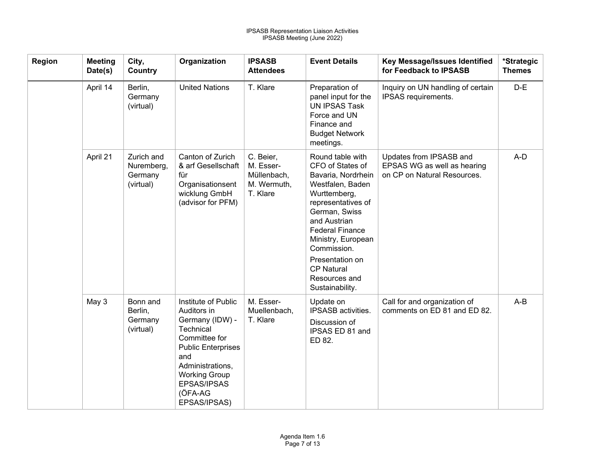| <b>Region</b> | <b>Meeting</b><br>Date(s) | City,<br>Country                                 | Organization                                                                                                                                                                                                  | <b>IPSASB</b><br><b>Attendees</b>                                | <b>Event Details</b>                                                                                                                                                                                                                                                                             | Key Message/Issues Identified<br>for Feedback to IPSASB                               | *Strategic<br><b>Themes</b> |
|---------------|---------------------------|--------------------------------------------------|---------------------------------------------------------------------------------------------------------------------------------------------------------------------------------------------------------------|------------------------------------------------------------------|--------------------------------------------------------------------------------------------------------------------------------------------------------------------------------------------------------------------------------------------------------------------------------------------------|---------------------------------------------------------------------------------------|-----------------------------|
|               | April 14                  | Berlin,<br>Germany<br>(virtual)                  | <b>United Nations</b>                                                                                                                                                                                         | T. Klare                                                         | Preparation of<br>panel input for the<br><b>UN IPSAS Task</b><br>Force and UN<br>Finance and<br><b>Budget Network</b><br>meetings.                                                                                                                                                               | Inquiry on UN handling of certain<br>IPSAS requirements.                              | $D-E$                       |
|               | April 21                  | Zurich and<br>Nuremberg,<br>Germany<br>(virtual) | Canton of Zurich<br>& arf Gesellschaft<br>für<br>Organisationsent<br>wicklung GmbH<br>(advisor for PFM)                                                                                                       | C. Beier,<br>M. Esser-<br>Müllenbach,<br>M. Wermuth,<br>T. Klare | Round table with<br>CFO of States of<br>Bavaria, Nordrhein<br>Westfalen, Baden<br>Wurttemberg,<br>representatives of<br>German, Swiss<br>and Austrian<br><b>Federal Finance</b><br>Ministry, European<br>Commission.<br>Presentation on<br><b>CP Natural</b><br>Resources and<br>Sustainability. | Updates from IPSASB and<br>EPSAS WG as well as hearing<br>on CP on Natural Resources. | A-D                         |
|               | May 3                     | Bonn and<br>Berlin,<br>Germany<br>(virtual)      | Institute of Public<br>Auditors in<br>Germany (IDW) -<br>Technical<br>Committee for<br><b>Public Enterprises</b><br>and<br>Administrations,<br><b>Working Group</b><br>EPSAS/IPSAS<br>(ÖFA-AG<br>EPSAS/IPSAS) | M. Esser-<br>Muellenbach,<br>T. Klare                            | Update on<br>IPSASB activities.<br>Discussion of<br>IPSAS ED 81 and<br>ED 82.                                                                                                                                                                                                                    | Call for and organization of<br>comments on ED 81 and ED 82.                          | $A-B$                       |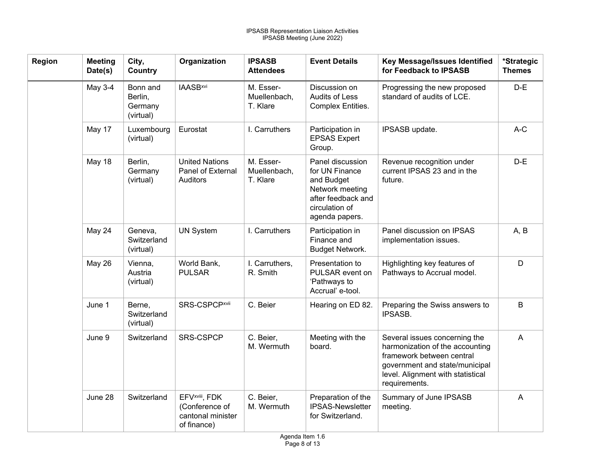| <b>Region</b> | <b>Meeting</b><br>Date(s) | City,<br>Country                            | Organization                                                                     | <b>IPSASB</b><br><b>Attendees</b>     | <b>Event Details</b>                                                                                                          | Key Message/Issues Identified<br>for Feedback to IPSASB                                                                                                                               | *Strategic<br><b>Themes</b> |
|---------------|---------------------------|---------------------------------------------|----------------------------------------------------------------------------------|---------------------------------------|-------------------------------------------------------------------------------------------------------------------------------|---------------------------------------------------------------------------------------------------------------------------------------------------------------------------------------|-----------------------------|
|               | May 3-4                   | Bonn and<br>Berlin,<br>Germany<br>(virtual) | <b>IAASB</b> <sup>xvi</sup>                                                      | M. Esser-<br>Muellenbach,<br>T. Klare | Discussion on<br>Audits of Less<br>Complex Entities.                                                                          | Progressing the new proposed<br>standard of audits of LCE.                                                                                                                            | $D-E$                       |
|               | May 17                    | Luxembourg<br>(virtual)                     | Eurostat                                                                         | I. Carruthers                         | Participation in<br><b>EPSAS Expert</b><br>Group.                                                                             | IPSASB update.                                                                                                                                                                        | $A-C$                       |
|               | May 18                    | Berlin,<br>Germany<br>(virtual)             | <b>United Nations</b><br>Panel of External<br>Auditors                           | M. Esser-<br>Muellenbach,<br>T. Klare | Panel discussion<br>for UN Finance<br>and Budget<br>Network meeting<br>after feedback and<br>circulation of<br>agenda papers. | Revenue recognition under<br>current IPSAS 23 and in the<br>future.                                                                                                                   | $D-E$                       |
|               | May 24                    | Geneva,<br>Switzerland<br>(virtual)         | <b>UN System</b>                                                                 | I. Carruthers                         | Participation in<br>Finance and<br><b>Budget Network.</b>                                                                     | Panel discussion on IPSAS<br>implementation issues.                                                                                                                                   | A, B                        |
|               | <b>May 26</b>             | Vienna,<br>Austria<br>(virtual)             | World Bank,<br><b>PULSAR</b>                                                     | I. Carruthers,<br>R. Smith            | Presentation to<br>PULSAR event on<br>'Pathways to<br>Accrual' e-tool.                                                        | Highlighting key features of<br>Pathways to Accrual model.                                                                                                                            | D                           |
|               | June 1                    | Berne,<br>Switzerland<br>(virtual)          | SRS-CSPCPxvii                                                                    | C. Beier                              | Hearing on ED 82.                                                                                                             | Preparing the Swiss answers to<br>IPSASB.                                                                                                                                             | B                           |
|               | June 9                    | Switzerland                                 | SRS-CSPCP                                                                        | C. Beier,<br>M. Wermuth               | Meeting with the<br>board.                                                                                                    | Several issues concerning the<br>harmonization of the accounting<br>framework between central<br>government and state/municipal<br>level. Alignment with statistical<br>requirements. | A                           |
|               | June 28                   | Switzerland                                 | EFV <sup>xviii</sup> , FDK<br>(Conference of<br>cantonal minister<br>of finance) | C. Beier,<br>M. Wermuth               | Preparation of the<br><b>IPSAS-Newsletter</b><br>for Switzerland.                                                             | Summary of June IPSASB<br>meeting.                                                                                                                                                    | A                           |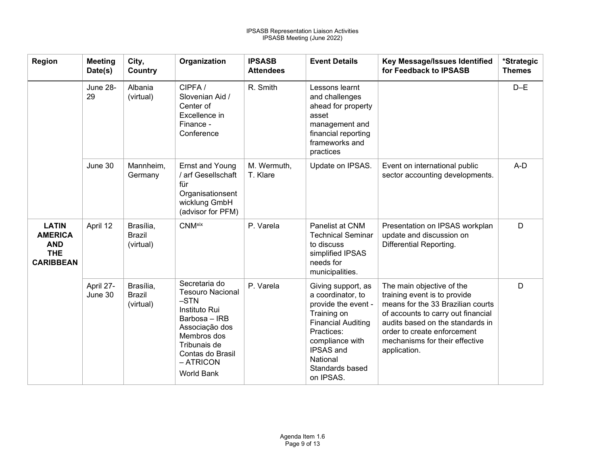| Region                                                                         | <b>Meeting</b><br>Date(s) | City,<br>Country                        | Organization                                                                                                                                                                                | <b>IPSASB</b><br><b>Attendees</b> | <b>Event Details</b>                                                                                                                                                                                 | Key Message/Issues Identified<br>for Feedback to IPSASB                                                                                                                                                                                                   | *Strategic<br><b>Themes</b> |
|--------------------------------------------------------------------------------|---------------------------|-----------------------------------------|---------------------------------------------------------------------------------------------------------------------------------------------------------------------------------------------|-----------------------------------|------------------------------------------------------------------------------------------------------------------------------------------------------------------------------------------------------|-----------------------------------------------------------------------------------------------------------------------------------------------------------------------------------------------------------------------------------------------------------|-----------------------------|
|                                                                                | June 28-<br>29            | Albania<br>(virtual)                    | CIPFA/<br>Slovenian Aid /<br>Center of<br>Excellence in<br>Finance -<br>Conference                                                                                                          | R. Smith                          | Lessons learnt<br>and challenges<br>ahead for property<br>asset<br>management and<br>financial reporting<br>frameworks and<br>practices                                                              |                                                                                                                                                                                                                                                           | $D-E$                       |
|                                                                                | June 30                   | Mannheim,<br>Germany                    | Ernst and Young<br>/ arf Gesellschaft<br>für<br>Organisationsent<br>wicklung GmbH<br>(advisor for PFM)                                                                                      | M. Wermuth,<br>T. Klare           | Update on IPSAS.                                                                                                                                                                                     | Event on international public<br>sector accounting developments.                                                                                                                                                                                          | A-D                         |
| <b>LATIN</b><br><b>AMERICA</b><br><b>AND</b><br><b>THE</b><br><b>CARIBBEAN</b> | April 12                  | Brasília,<br><b>Brazil</b><br>(virtual) | <b>CNM</b> xix                                                                                                                                                                              | P. Varela                         | Panelist at CNM<br><b>Technical Seminar</b><br>to discuss<br>simplified IPSAS<br>needs for<br>municipalities.                                                                                        | Presentation on IPSAS workplan<br>update and discussion on<br>Differential Reporting.                                                                                                                                                                     | D                           |
|                                                                                | April 27-<br>June 30      | Brasília,<br><b>Brazil</b><br>(virtual) | Secretaria do<br><b>Tesouro Nacional</b><br>$-STN$<br>Instituto Rui<br>Barbosa - IRB<br>Associação dos<br>Membros dos<br>Tribunais de<br>Contas do Brasil<br>- ATRICON<br><b>World Bank</b> | P. Varela                         | Giving support, as<br>a coordinator, to<br>provide the event -<br>Training on<br><b>Financial Auditing</b><br>Practices:<br>compliance with<br>IPSAS and<br>National<br>Standards based<br>on IPSAS. | The main objective of the<br>training event is to provide<br>means for the 33 Brazilian courts<br>of accounts to carry out financial<br>audits based on the standards in<br>order to create enforcement<br>mechanisms for their effective<br>application. | D                           |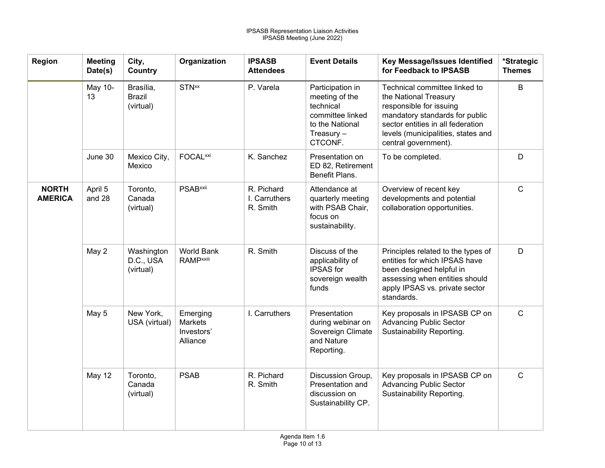| <b>Region</b>                  | <b>Meeting</b><br>Date(s) | City,<br>Country                        | Organization                                         | <b>IPSASB</b><br><b>Attendees</b>       | <b>Event Details</b>                                                                                              | Key Message/Issues Identified<br>for Feedback to IPSASB                                                                                                                                                                | *Strategic<br><b>Themes</b> |
|--------------------------------|---------------------------|-----------------------------------------|------------------------------------------------------|-----------------------------------------|-------------------------------------------------------------------------------------------------------------------|------------------------------------------------------------------------------------------------------------------------------------------------------------------------------------------------------------------------|-----------------------------|
|                                | May 10-<br>13             | Brasília,<br><b>Brazil</b><br>(virtual) | <b>STN</b> <sup>xx</sup>                             | P. Varela                               | Participation in<br>meeting of the<br>technical<br>committee linked<br>to the National<br>Treasury $-$<br>CTCONF. | Technical committee linked to<br>the National Treasury<br>responsible for issuing<br>mandatory standards for public<br>sector entities in all federation<br>levels (municipalities, states and<br>central government). | $\sf B$                     |
|                                | June 30                   | Mexico City,<br>Mexico                  | <b>FOCAL</b> xxi                                     | K. Sanchez                              | Presentation on<br>ED 82, Retirement<br>Benefit Plans.                                                            | To be completed.                                                                                                                                                                                                       | D                           |
| <b>NORTH</b><br><b>AMERICA</b> | April 5<br>and 28         | Toronto,<br>Canada<br>(virtual)         | <b>PSAB</b> xxii                                     | R. Pichard<br>I. Carruthers<br>R. Smith | Attendance at<br>quarterly meeting<br>with PSAB Chair,<br>focus on<br>sustainability.                             | Overview of recent key<br>developments and potential<br>collaboration opportunities.                                                                                                                                   | $\mathsf{C}$                |
|                                | May 2                     | Washington<br>D.C., USA<br>(virtual)    | <b>World Bank</b><br><b>RAMPxxiii</b>                | R. Smith                                | Discuss of the<br>applicability of<br><b>IPSAS</b> for<br>sovereign wealth<br>funds                               | Principles related to the types of<br>entities for which IPSAS have<br>been designed helpful in<br>assessing when entities should<br>apply IPSAS vs. private sector<br>standards.                                      | D                           |
|                                | May 5                     | New York,<br>USA (virtual)              | Emerging<br><b>Markets</b><br>Investors'<br>Alliance | I. Carruthers                           | Presentation<br>during webinar on<br>Sovereign Climate<br>and Nature<br>Reporting.                                | Key proposals in IPSASB CP on<br><b>Advancing Public Sector</b><br>Sustainability Reporting.                                                                                                                           | $\mathsf C$                 |
|                                | <b>May 12</b>             | Toronto,<br>Canada<br>(virtual)         | <b>PSAB</b>                                          | R. Pichard<br>R. Smith                  | Discussion Group,<br>Presentation and<br>discussion on<br>Sustainability CP.                                      | Key proposals in IPSASB CP on<br><b>Advancing Public Sector</b><br>Sustainability Reporting.                                                                                                                           | $\mathsf{C}$                |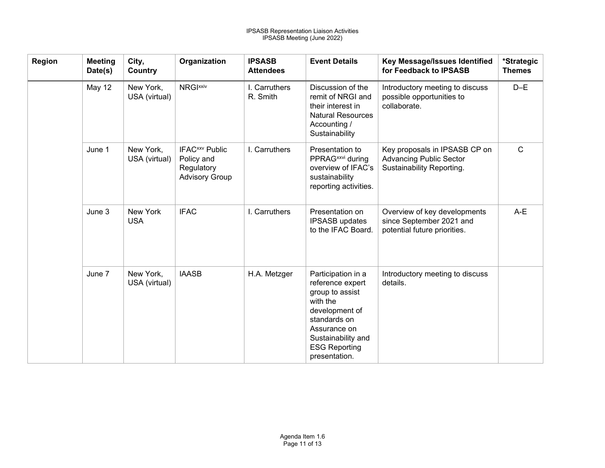| Region | <b>Meeting</b><br>Date(s) | City,<br>Country           | Organization                                                                           | <b>IPSASB</b><br><b>Attendees</b> | <b>Event Details</b>                                                                                                                                                                   | Key Message/Issues Identified<br>for Feedback to IPSASB                                      | *Strategic<br><b>Themes</b> |
|--------|---------------------------|----------------------------|----------------------------------------------------------------------------------------|-----------------------------------|----------------------------------------------------------------------------------------------------------------------------------------------------------------------------------------|----------------------------------------------------------------------------------------------|-----------------------------|
|        | May 12                    | New York,<br>USA (virtual) | <b>NRGIXXIV</b>                                                                        | I. Carruthers<br>R. Smith         | Discussion of the<br>remit of NRGI and<br>their interest in<br><b>Natural Resources</b><br>Accounting /<br>Sustainability                                                              | Introductory meeting to discuss<br>possible opportunities to<br>collaborate.                 | $D-E$                       |
|        | June 1                    | New York,<br>USA (virtual) | <b>IFAC</b> <sup>xxv</sup> Public<br>Policy and<br>Regulatory<br><b>Advisory Group</b> | I. Carruthers                     | Presentation to<br>PPRAG <sup>xxvi</sup> during<br>overview of IFAC's<br>sustainability<br>reporting activities.                                                                       | Key proposals in IPSASB CP on<br><b>Advancing Public Sector</b><br>Sustainability Reporting. | $\mathsf{C}$                |
|        | June 3                    | New York<br><b>USA</b>     | <b>IFAC</b>                                                                            | I. Carruthers                     | Presentation on<br><b>IPSASB</b> updates<br>to the IFAC Board.                                                                                                                         | Overview of key developments<br>since September 2021 and<br>potential future priorities.     | A-E                         |
|        | June 7                    | New York,<br>USA (virtual) | <b>IAASB</b>                                                                           | H.A. Metzger                      | Participation in a<br>reference expert<br>group to assist<br>with the<br>development of<br>standards on<br>Assurance on<br>Sustainability and<br><b>ESG Reporting</b><br>presentation. | Introductory meeting to discuss<br>details.                                                  |                             |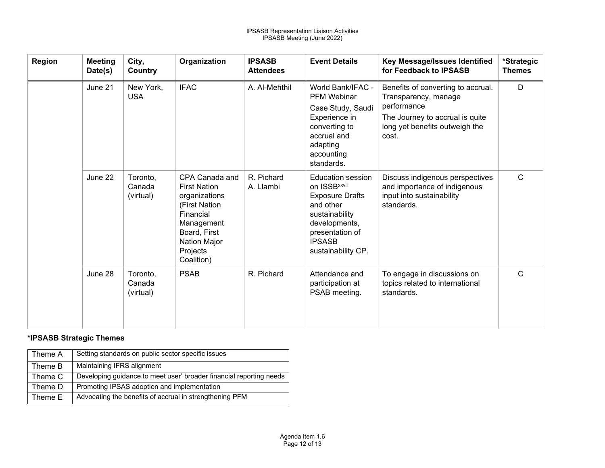<span id="page-11-26"></span><span id="page-11-25"></span><span id="page-11-24"></span><span id="page-11-23"></span><span id="page-11-22"></span><span id="page-11-21"></span><span id="page-11-20"></span><span id="page-11-19"></span><span id="page-11-18"></span><span id="page-11-17"></span><span id="page-11-16"></span><span id="page-11-15"></span><span id="page-11-14"></span><span id="page-11-13"></span><span id="page-11-12"></span><span id="page-11-11"></span><span id="page-11-10"></span><span id="page-11-9"></span><span id="page-11-8"></span><span id="page-11-7"></span><span id="page-11-6"></span><span id="page-11-5"></span><span id="page-11-4"></span><span id="page-11-3"></span><span id="page-11-2"></span><span id="page-11-1"></span><span id="page-11-0"></span>

| <b>Region</b> | <b>Meeting</b><br>Date(s) | City,<br>Country                | Organization                                                                                                                                                 | <b>IPSASB</b><br><b>Attendees</b> | <b>Event Details</b>                                                                                                                                                                     | Key Message/Issues Identified<br>for Feedback to IPSASB                                                                                                 | *Strategic<br><b>Themes</b> |
|---------------|---------------------------|---------------------------------|--------------------------------------------------------------------------------------------------------------------------------------------------------------|-----------------------------------|------------------------------------------------------------------------------------------------------------------------------------------------------------------------------------------|---------------------------------------------------------------------------------------------------------------------------------------------------------|-----------------------------|
|               | June 21                   | New York,<br><b>USA</b>         | <b>IFAC</b>                                                                                                                                                  | A. Al-Mehthil                     | World Bank/IFAC -<br><b>PFM Webinar</b><br>Case Study, Saudi<br>Experience in<br>converting to<br>accrual and<br>adapting<br>accounting<br>standards.                                    | Benefits of converting to accrual.<br>Transparency, manage<br>performance<br>The Journey to accrual is quite<br>long yet benefits outweigh the<br>cost. | D                           |
|               | June 22                   | Toronto,<br>Canada<br>(virtual) | CPA Canada and<br><b>First Nation</b><br>organizations<br>(First Nation<br>Financial<br>Management<br>Board, First<br>Nation Major<br>Projects<br>Coalition) | R. Pichard<br>A. Llambi           | <b>Education session</b><br>on ISSB <sup>xxvii</sup><br><b>Exposure Drafts</b><br>and other<br>sustainability<br>developments,<br>presentation of<br><b>IPSASB</b><br>sustainability CP. | Discuss indigenous perspectives<br>and importance of indigenous<br>input into sustainability<br>standards.                                              | $\mathsf{C}$                |
|               | June 28                   | Toronto,<br>Canada<br>(virtual) | <b>PSAB</b>                                                                                                                                                  | R. Pichard                        | Attendance and<br>participation at<br>PSAB meeting.                                                                                                                                      | To engage in discussions on<br>topics related to international<br>standards.                                                                            | $\mathsf{C}$                |

#### **\*IPSASB Strategic Themes**

| Theme A | Setting standards on public sector specific issues                  |
|---------|---------------------------------------------------------------------|
| Theme B | Maintaining IFRS alignment                                          |
| Theme C | Developing quidance to meet user' broader financial reporting needs |
| Theme D | Promoting IPSAS adoption and implementation                         |
| Theme E | Advocating the benefits of accrual in strengthening PFM             |